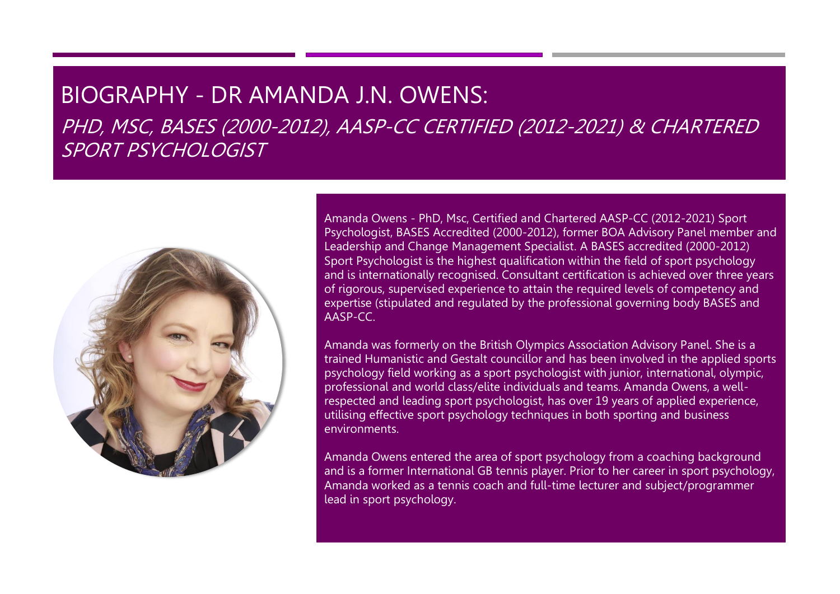## BIOGRAPHY - DR AMANDA J.N. OWENS:

PHD, MSC, BASES (2000-2012), AASP-CC CERTIFIED (2012-2021) & CHARTERED SPORT PSYCHOLOGIST



Amanda Owens - PhD, Msc, Certified and Chartered AASP-CC (2012-2021) Sport Psychologist, BASES Accredited (2000-2012), former BOA Advisory Panel member and Leadership and Change Management Specialist. A BASES accredited (2000-2012) Sport Psychologist is the highest qualification within the field of sport psychology and is internationally recognised. Consultant certification is achieved over three years of rigorous, supervised experience to attain the required levels of competency and expertise (stipulated and regulated by the professional governing body BASES and AASP-CC.

Amanda was formerly on the British Olympics Association Advisory Panel. She is a trained Humanistic and Gestalt councillor and has been involved in the applied sports psychology field working as a sport psychologist with junior, international, olympic, professional and world class/elite individuals and teams. Amanda Owens, a wellrespected and leading sport psychologist, has over 19 years of applied experience, utilising effective sport psychology techniques in both sporting and business environments.

Amanda Owens entered the area of sport psychology from a coaching background and is a former International GB tennis player. Prior to her career in sport psychology, Amanda worked as a tennis coach and full-time lecturer and subject/programmer lead in sport psychology.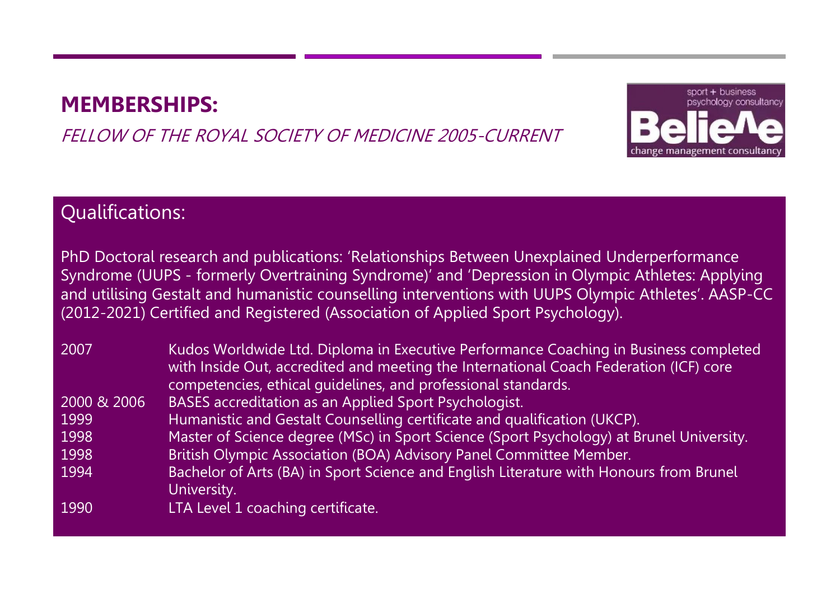## **MEMBERSHIPS:**

### FELLOW OF THE ROYAL SOCIETY OF MEDICINE 2005-CURRENT



### Qualifications:

PhD Doctoral research and publications: 'Relationships Between Unexplained Underperformance Syndrome (UUPS - formerly Overtraining Syndrome)' and 'Depression in Olympic Athletes: Applying and utilising Gestalt and humanistic counselling interventions with UUPS Olympic Athletes'. AASP-CC (2012-2021) Certified and Registered (Association of Applied Sport Psychology).

| 2007        | Kudos Worldwide Ltd. Diploma in Executive Performance Coaching in Business completed<br>with Inside Out, accredited and meeting the International Coach Federation (ICF) core<br>competencies, ethical quidelines, and professional standards. |
|-------------|------------------------------------------------------------------------------------------------------------------------------------------------------------------------------------------------------------------------------------------------|
| 2000 & 2006 | <b>BASES</b> accreditation as an Applied Sport Psychologist.                                                                                                                                                                                   |
| 1999        | Humanistic and Gestalt Counselling certificate and qualification (UKCP).                                                                                                                                                                       |
| 1998        | Master of Science degree (MSc) in Sport Science (Sport Psychology) at Brunel University.                                                                                                                                                       |
| 1998        | British Olympic Association (BOA) Advisory Panel Committee Member.                                                                                                                                                                             |
| 1994        | Bachelor of Arts (BA) in Sport Science and English Literature with Honours from Brunel<br>University.                                                                                                                                          |
| 1990        | LTA Level 1 coaching certificate.                                                                                                                                                                                                              |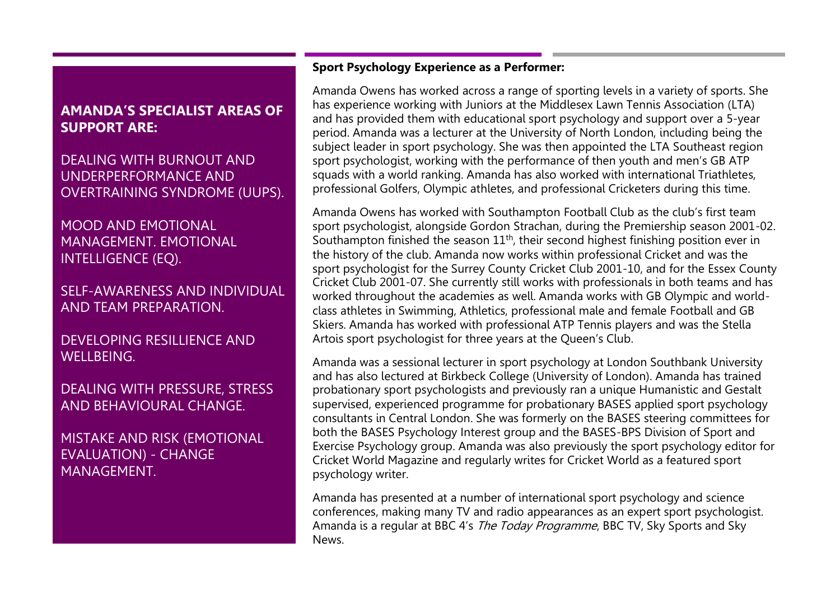### **AMANDA'S SPECIALIST AREAS OF SUPPORT ARE:**

DEALING WITH BURNOUT AND UNDERPERFORMANCE AND OVERTRAINING SYNDROME (UUPS).

MOOD AND EMOTIONAL MANAGEMENT. EMOTIONAL INTELLIGENCE (EQ).

SELF-AWARENESS AND INDIVIDUAL AND TEAM PREPARATION.

DEVELOPING RESILLIENCE AND WELLBEING.

DEALING WITH PRESSURE, STRESS AND BEHAVIOURAL CHANGE.

MISTAKE AND RISK (EMOTIONAL EVALUATION) - CHANGE MANAGEMENT.

#### **Sport Psychology Experience as a Performer:**

Amanda Owens has worked across a range of sporting levels in a variety of sports. She has experience working with Juniors at the Middlesex Lawn Tennis Association (LTA) and has provided them with educational sport psychology and support over a 5-year period. Amanda was a lecturer at the University of North London, including being the subject leader in sport psychology. She was then appointed the LTA Southeast region sport psychologist, working with the performance of then youth and men's GB ATP squads with a world ranking. Amanda has also worked with international Triathletes, professional Golfers, Olympic athletes, and professional Cricketers during this time.

Amanda Owens has worked with Southampton Football Club as the club's first team sport psychologist, alongside Gordon Strachan, during the Premiership season 2001-02. Southampton finished the season  $11<sup>th</sup>$ , their second highest finishing position ever in the history of the club. Amanda now works within professional Cricket and was the sport psychologist for the Surrey County Cricket Club 2001-10, and for the Essex County Cricket Club 2001-07. She currently still works with professionals in both teams and has worked throughout the academies as well. Amanda works with GB Olympic and worldclass athletes in Swimming, Athletics, professional male and female Football and GB Skiers. Amanda has worked with professional ATP Tennis players and was the Stella Artois sport psychologist for three years at the Queen's Club.

Amanda was a sessional lecturer in sport psychology at London Southbank University and has also lectured at Birkbeck College (University of London). Amanda has trained probationary sport psychologists and previously ran a unique Humanistic and Gestalt supervised, experienced programme for probationary BASES applied sport psychology consultants in Central London. She was formerly on the BASES steering committees for both the BASES Psychology Interest group and the BASES-BPS Division of Sport and Exercise Psychology group. Amanda was also previously the sport psychology editor for Cricket World Magazine and regularly writes for Cricket World as a featured sport psychology writer.

Amanda has presented at a number of international sport psychology and science conferences, making many TV and radio appearances as an expert sport psychologist. Amanda is a regular at BBC 4's *The Today Programme*, BBC TV, Sky Sports and Sky News.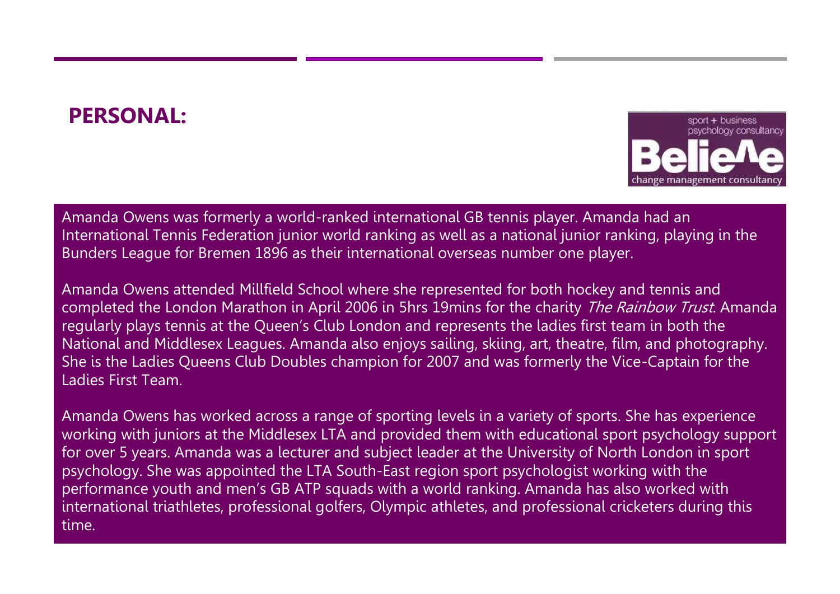# **PERSONAL:**



Amanda Owens was formerly a world-ranked international GB tennis player. Amanda had an International Tennis Federation junior world ranking as well as a national junior ranking, playing in the Bunders League for Bremen 1896 as their international overseas number one player.

Amanda Owens attended Millfield School where she represented for both hockey and tennis and completed the London Marathon in April 2006 in 5hrs 19mins for the charity *The Rainbow Trust*. Amanda regularly plays tennis at the Queen's Club London and represents the ladies first team in both the National and Middlesex Leagues. Amanda also enjoys sailing, skiing, art, theatre, film, and photography. She is the Ladies Queens Club Doubles champion for 2007 and was formerly the Vice-Captain for the Ladies First Team.

Amanda Owens has worked across a range of sporting levels in a variety of sports. She has experience working with juniors at the Middlesex LTA and provided them with educational sport psychology support for over 5 years. Amanda was a lecturer and subject leader at the University of North London in sport psychology. She was appointed the LTA South-East region sport psychologist working with the performance youth and men's GB ATP squads with a world ranking. Amanda has also worked with international triathletes, professional golfers, Olympic athletes, and professional cricketers during this time.